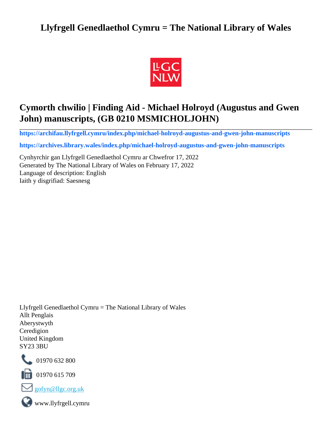## **Llyfrgell Genedlaethol Cymru = The National Library of Wales**



# **Cymorth chwilio | Finding Aid - Michael Holroyd (Augustus and Gwen John) manuscripts, (GB 0210 MSMICHOLJOHN)**

**[https://archifau.llyfrgell.cymru/index.php/michael-holroyd-augustus-and-gwen-john-manuscripts](https://archifau.llyfrgell.cymru/index.php/michael-holroyd-augustus-and-gwen-john-manuscripts;isad?sf_culture=cy)**

**[https://archives.library.wales/index.php/michael-holroyd-augustus-and-gwen-john-manuscripts](https://archives.library.wales/index.php/michael-holroyd-augustus-and-gwen-john-manuscripts;isad?sf_culture=en)**

Cynhyrchir gan Llyfrgell Genedlaethol Cymru ar Chwefror 17, 2022 Generated by The National Library of Wales on February 17, 2022 Language of description: English Iaith y disgrifiad: Saesnesg

Llyfrgell Genedlaethol Cymru = The National Library of Wales Allt Penglais Aberystwyth Ceredigion United Kingdom SY23 3BU



101970 632 800

 $\blacksquare$  01970 615 709



www.llyfrgell.cymru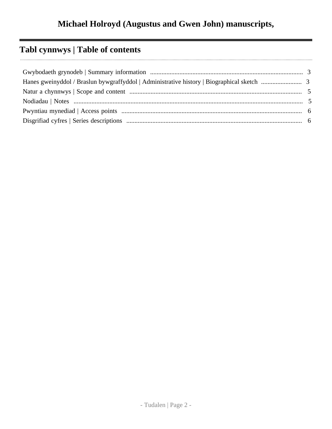# **Tabl cynnwys | Table of contents**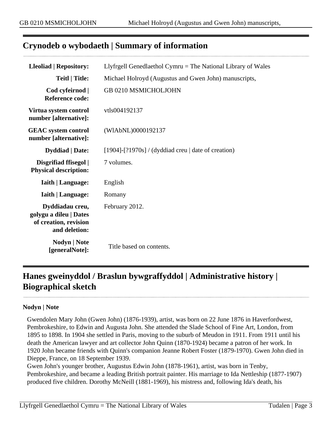## <span id="page-2-0"></span>**Crynodeb o wybodaeth | Summary of information**

| <b>Lleoliad   Repository:</b>                                                       | Llyfrgell Genedlaethol Cymru $=$ The National Library of Wales |  |
|-------------------------------------------------------------------------------------|----------------------------------------------------------------|--|
| <b>Teitl   Title:</b>                                                               | Michael Holroyd (Augustus and Gwen John) manuscripts,          |  |
| Cod cyfeirnod  <br><b>Reference code:</b>                                           | GB 0210 MSMICHOLJOHN                                           |  |
| Virtua system control<br>number [alternative]:                                      | vtls004192137                                                  |  |
| <b>GEAC</b> system control<br>number [alternative]:                                 | (WIAbNL)0000192137                                             |  |
| <b>Dyddiad</b>   Date:                                                              | $[1904]$ - $[?1970s]$ / (dyddiad creu   date of creation)      |  |
| Disgrifiad ffisegol  <br><b>Physical description:</b>                               | 7 volumes.                                                     |  |
| <b>Iaith   Language:</b>                                                            | English                                                        |  |
| <b>Iaith   Language:</b>                                                            | Romany                                                         |  |
| Dyddiadau creu,<br>golygu a dileu   Dates<br>of creation, revision<br>and deletion: | February 2012.                                                 |  |
| <b>Nodyn</b>   <b>Note</b><br>[generalNote]:                                        | Title based on contents.                                       |  |

## <span id="page-2-1"></span>**Hanes gweinyddol / Braslun bywgraffyddol | Administrative history | Biographical sketch**

#### **Nodyn | Note**

Gwendolen Mary John (Gwen John) (1876-1939), artist, was born on 22 June 1876 in Haverfordwest, Pembrokeshire, to Edwin and Augusta John. She attended the Slade School of Fine Art, London, from 1895 to 1898. In 1904 she settled in Paris, moving to the suburb of Meudon in 1911. From 1911 until his death the American lawyer and art collector John Quinn (1870-1924) became a patron of her work. In 1920 John became friends with Quinn's companion Jeanne Robert Foster (1879-1970). Gwen John died in Dieppe, France, on 18 September 1939.

Gwen John's younger brother, Augustus Edwin John (1878-1961), artist, was born in Tenby, Pembrokeshire, and became a leading British portrait painter. His marriage to Ida Nettleship (1877-1907) produced five children. Dorothy McNeill (1881-1969), his mistress and, following Ida's death, his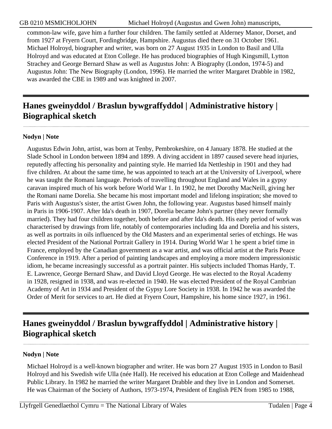common-law wife, gave him a further four children. The family settled at Alderney Manor, Dorset, and from 1927 at Fryern Court, Fordingbridge, Hampshire. Augustus died there on 31 October 1961. Michael Holroyd, biographer and writer, was born on 27 August 1935 in London to Basil and Ulla Holroyd and was educated at Eton College. He has produced biographies of Hugh Kingsmill, Lytton Strachey and George Bernard Shaw as well as Augustus John: A Biography (London, 1974-5) and Augustus John: The New Biography (London, 1996). He married the writer Margaret Drabble in 1982, was awarded the CBE in 1989 and was knighted in 2007.

## **Hanes gweinyddol / Braslun bywgraffyddol | Administrative history | Biographical sketch**

### **Nodyn | Note**

Augustus Edwin John, artist, was born at Tenby, Pembrokeshire, on 4 January 1878. He studied at the Slade School in London between 1894 and 1899. A diving accident in 1897 caused severe head injuries, reputedly affecting his personality and painting style. He married Ida Nettleship in 1901 and they had five children. At about the same time, he was appointed to teach art at the University of Liverpool, where he was taught the Romani language. Periods of travelling throughout England and Wales in a gypsy caravan inspired much of his work before World War 1. In 1902, he met Dorothy MacNeill, giving her the Romani name Dorelia. She became his most important model and lifelong inspiration; she moved to Paris with Augustus's sister, the artist Gwen John, the following year. Augustus based himself mainly in Paris in 1906-1907. After Ida's death in 1907, Dorelia became John's partner (they never formally married). They had four children together, both before and after Ida's death. His early period of work was characterised by drawings from life, notably of contemporaries including Ida and Dorelia and his sisters, as well as portraits in oils influenced by the Old Masters and an experimental series of etchings. He was elected President of the National Portrait Gallery in 1914. During World War 1 he spent a brief time in France, employed by the Canadian government as a war artist, and was official artist at the Paris Peace Conference in 1919. After a period of painting landscapes and employing a more modern impressionistic idiom, he became increasingly successful as a portrait painter. His subjects included Thomas Hardy, T. E. Lawrence, George Bernard Shaw, and David Lloyd George. He was elected to the Royal Academy in 1928, resigned in 1938, and was re-elected in 1940. He was elected President of the Royal Cambrian Academy of Art in 1934 and President of the Gypsy Lore Society in 1938. In 1942 he was awarded the Order of Merit for services to art. He died at Fryern Court, Hampshire, his home since 1927, in 1961.

## **Hanes gweinyddol / Braslun bywgraffyddol | Administrative history | Biographical sketch**

### **Nodyn | Note**

Michael Holroyd is a well-known biographer and writer. He was born 27 August 1935 in London to Basil Holroyd and his Swedish wife Ulla (née Hall). He received his education at Eton College and Maidenhead Public Library. In 1982 he married the writer Margaret Drabble and they live in London and Somerset. He was Chairman of the Society of Authors, 1973-1974, President of English PEN from 1985 to 1988,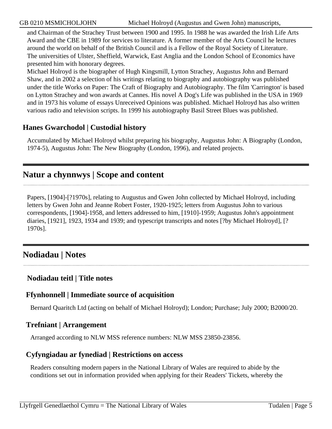and Chairman of the Strachey Trust between 1900 and 1995. In 1988 he was awarded the Irish Life Arts Award and the CBE in 1989 for services to literature. A former member of the Arts Council he lectures around the world on behalf of the British Council and is a Fellow of the Royal Society of Literature. The universities of Ulster, Sheffield, Warwick, East Anglia and the London School of Economics have presented him with honorary degrees.

Michael Holroyd is the biographer of Hugh Kingsmill, Lytton Strachey, Augustus John and Bernard Shaw, and in 2002 a selection of his writings relating to biography and autobiography was published under the title Works on Paper: The Craft of Biography and Autobiography. The film 'Carrington' is based on Lytton Strachey and won awards at Cannes. His novel A Dog's Life was published in the USA in 1969 and in 1973 his volume of essays Unreceived Opinions was published. Michael Holroyd has also written various radio and television scripts. In 1999 his autobiography Basil Street Blues was published.

## **Hanes Gwarchodol | Custodial history**

Accumulated by Michael Holroyd whilst preparing his biography, Augustus John: A Biography (London, 1974-5), Augustus John: The New Biography (London, 1996), and related projects.

## <span id="page-4-0"></span>**Natur a chynnwys | Scope and content**

Papers, [1904]-[?1970s], relating to Augustus and Gwen John collected by Michael Holroyd, including letters by Gwen John and Jeanne Robert Foster, 1920-1925; letters from Augustus John to various correspondents, [1904]-1958, and letters addressed to him, [1910]-1959; Augustus John's appointment diaries, [1921], 1923, 1934 and 1939; and typescript transcripts and notes [?by Michael Holroyd], [? 1970s].

## <span id="page-4-1"></span>**Nodiadau | Notes**

## **Nodiadau teitl | Title notes**

### **Ffynhonnell | Immediate source of acquisition**

Bernard Quaritch Ltd (acting on behalf of Michael Holroyd); London; Purchase; July 2000; B2000/20.

### **Trefniant | Arrangement**

Arranged according to NLW MSS reference numbers: NLW MSS 23850-23856.

### **Cyfyngiadau ar fynediad | Restrictions on access**

Readers consulting modern papers in the National Library of Wales are required to abide by the conditions set out in information provided when applying for their Readers' Tickets, whereby the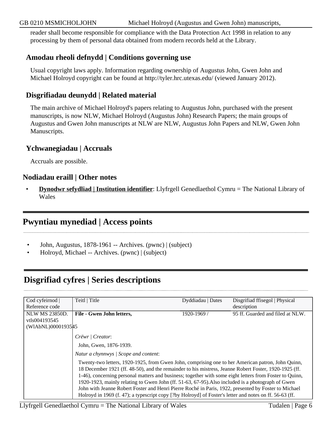#### GB 0210 MSMICHOLJOHN Michael Holroyd (Augustus and Gwen John) manuscripts,

reader shall become responsible for compliance with the Data Protection Act 1998 in relation to any processing by them of personal data obtained from modern records held at the Library.

### **Amodau rheoli defnydd | Conditions governing use**

Usual copyright laws apply. Information regarding ownership of Augustus John, Gwen John and Michael Holroyd copyright can be found at http://tyler.hrc.utexas.edu/ (viewed January 2012).

### **Disgrifiadau deunydd | Related material**

The main archive of Michael Holroyd's papers relating to Augustus John, purchased with the present manuscripts, is now NLW, Michael Holroyd (Augustus John) Research Papers; the main groups of Augustus and Gwen John manuscripts at NLW are NLW, Augustus John Papers and NLW, Gwen John Manuscripts.

### **Ychwanegiadau | Accruals**

Accruals are possible.

#### **Nodiadau eraill | Other notes**

• **Dynodwr sefydliad | Institution identifier**: Llyfrgell Genedlaethol Cymru = The National Library of Wales

## <span id="page-5-0"></span>**Pwyntiau mynediad | Access points**

- John, Augustus, 1878-1961 -- Archives. (pwnc) | (subject)
- Holroyd, Michael -- Archives. (pwnc) | (subject)

## <span id="page-5-1"></span>**Disgrifiad cyfres | Series descriptions**

| Cod cyfeirnod         | Teitl   Title                                                                                                                                                                                                                                                                                                                                                                                                                                                                                                                                                                                                                                 | Dyddiadau   Dates | Disgrifiad ffisegol   Physical   |
|-----------------------|-----------------------------------------------------------------------------------------------------------------------------------------------------------------------------------------------------------------------------------------------------------------------------------------------------------------------------------------------------------------------------------------------------------------------------------------------------------------------------------------------------------------------------------------------------------------------------------------------------------------------------------------------|-------------------|----------------------------------|
| Reference code        |                                                                                                                                                                                                                                                                                                                                                                                                                                                                                                                                                                                                                                               |                   | description                      |
| <b>NLW MS 23850D.</b> | File - Gwen John letters,                                                                                                                                                                                                                                                                                                                                                                                                                                                                                                                                                                                                                     | 1920-1969/        | 95 ff. Guarded and filed at NLW. |
| vtls004193545         |                                                                                                                                                                                                                                                                                                                                                                                                                                                                                                                                                                                                                                               |                   |                                  |
| (WIAbNL)00001935#5    |                                                                                                                                                                                                                                                                                                                                                                                                                                                                                                                                                                                                                                               |                   |                                  |
|                       | Crëwr / Creator:                                                                                                                                                                                                                                                                                                                                                                                                                                                                                                                                                                                                                              |                   |                                  |
|                       | John, Gwen, 1876-1939.                                                                                                                                                                                                                                                                                                                                                                                                                                                                                                                                                                                                                        |                   |                                  |
|                       | Natur a chynnwys / Scope and content:                                                                                                                                                                                                                                                                                                                                                                                                                                                                                                                                                                                                         |                   |                                  |
|                       | Twenty-two letters, 1920-1925, from Gwen John, comprising one to her American patron, John Quinn,<br>18 December 1921 (ff. 48-50), and the remainder to his mistress, Jeanne Robert Foster, 1920-1925 (ff.<br>1-46), concerning personal matters and business; together with some eight letters from Foster to Quinn,<br>1920-1923, mainly relating to Gwen John (ff. 51-63, 67-95). Also included is a photograph of Gwen<br>John with Jeanne Robert Foster and Henri Pierre Roché in Paris, 1922, presented by Foster to Michael<br>Holroyd in 1969 (f. 47); a typescript copy [?by Holroyd] of Foster's letter and notes on ff. 56-63 (ff. |                   |                                  |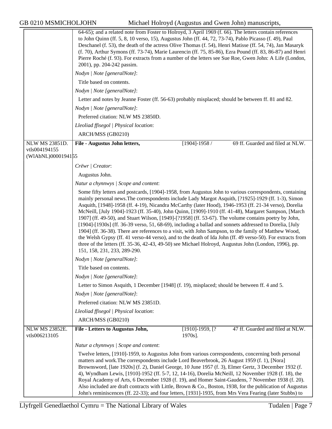GB 0210 MSMICHOLJOHN Michael Holroyd (Augustus and Gwen John) manuscripts,

|                                     | 64-65); and a related note from Foster to Holroyd, 3 April 1969 (f. 66). The letters contain references<br>to John Quinn (ff. 5, 8, 10 verso, 15), Augustus John (ff. 44, 72, 73-74), Pablo Picasso (f. 49), Paul<br>Deschanel (f. 53), the death of the actress Olive Thomas (f. 54), Henri Matisse (ff. 54, 74), Jan Masaryk<br>(f. 70), Arthur Symons (ff. 73-74), Marie Laurencin (ff. 75, 85-86), Ezra Pound (ff. 83, 86-87) and Henri<br>Pierre Roché (f. 93). For extracts from a number of the letters see Sue Roe, Gwen John: A Life (London,<br>2001), pp. 204-242 passim.                                                                                                                                                                                                                                                                                                                     |                              |                                  |  |
|-------------------------------------|----------------------------------------------------------------------------------------------------------------------------------------------------------------------------------------------------------------------------------------------------------------------------------------------------------------------------------------------------------------------------------------------------------------------------------------------------------------------------------------------------------------------------------------------------------------------------------------------------------------------------------------------------------------------------------------------------------------------------------------------------------------------------------------------------------------------------------------------------------------------------------------------------------|------------------------------|----------------------------------|--|
|                                     | Nodyn   Note [generalNote]:                                                                                                                                                                                                                                                                                                                                                                                                                                                                                                                                                                                                                                                                                                                                                                                                                                                                              |                              |                                  |  |
|                                     | Title based on contents.                                                                                                                                                                                                                                                                                                                                                                                                                                                                                                                                                                                                                                                                                                                                                                                                                                                                                 |                              |                                  |  |
|                                     | Nodyn   Note [generalNote]:                                                                                                                                                                                                                                                                                                                                                                                                                                                                                                                                                                                                                                                                                                                                                                                                                                                                              |                              |                                  |  |
|                                     | Letter and notes by Jeanne Foster (ff. 56-63) probably misplaced; should be between ff. 81 and 82.                                                                                                                                                                                                                                                                                                                                                                                                                                                                                                                                                                                                                                                                                                                                                                                                       |                              |                                  |  |
|                                     | Nodyn   Note [generalNote]:                                                                                                                                                                                                                                                                                                                                                                                                                                                                                                                                                                                                                                                                                                                                                                                                                                                                              |                              |                                  |  |
|                                     | Preferred citation: NLW MS 23850D.                                                                                                                                                                                                                                                                                                                                                                                                                                                                                                                                                                                                                                                                                                                                                                                                                                                                       |                              |                                  |  |
|                                     | Lleoliad ffisegol   Physical location:                                                                                                                                                                                                                                                                                                                                                                                                                                                                                                                                                                                                                                                                                                                                                                                                                                                                   |                              |                                  |  |
|                                     | ARCH/MSS (GB0210)                                                                                                                                                                                                                                                                                                                                                                                                                                                                                                                                                                                                                                                                                                                                                                                                                                                                                        |                              |                                  |  |
| NLW MS 23851D.                      | File - Augustus John letters,                                                                                                                                                                                                                                                                                                                                                                                                                                                                                                                                                                                                                                                                                                                                                                                                                                                                            | $[1904]$ -1958 /             | 69 ff. Guarded and filed at NLW. |  |
| vtls004194155<br>(WIAbNL)0000194155 |                                                                                                                                                                                                                                                                                                                                                                                                                                                                                                                                                                                                                                                                                                                                                                                                                                                                                                          |                              |                                  |  |
|                                     | Crëwr   Creator:                                                                                                                                                                                                                                                                                                                                                                                                                                                                                                                                                                                                                                                                                                                                                                                                                                                                                         |                              |                                  |  |
|                                     | Augustus John.                                                                                                                                                                                                                                                                                                                                                                                                                                                                                                                                                                                                                                                                                                                                                                                                                                                                                           |                              |                                  |  |
|                                     | Natur a chynnwys / Scope and content:                                                                                                                                                                                                                                                                                                                                                                                                                                                                                                                                                                                                                                                                                                                                                                                                                                                                    |                              |                                  |  |
|                                     | Some fifty letters and postcards, [1904]-1958, from Augustus John to various correspondents, containing                                                                                                                                                                                                                                                                                                                                                                                                                                                                                                                                                                                                                                                                                                                                                                                                  |                              |                                  |  |
|                                     | mainly personal news. The correspondents include Lady Margot Asquith, [?1925]-1929 (ff. 1-3), Simon<br>Asquith, [1948]-1958 (ff. 4-19), Nicandra McCarthy (later Hood), 1946-1953 (ff. 21-34 verso), Dorelia<br>McNeill, [July 1904]-1923 (ff. 35-40), John Quinn, [1909]-1910 (ff. 41-48), Margaret Sampson, [March<br>1907] (ff. 49-50), and Stuart Wilson, [1949]-[?1958] (ff. 53-67). The volume contains poetry by John,<br>[1904]-[1930s] (ff. 36-39 verso, 51, 68-69), including a ballad and sonnets addressed to Dorelia, [July<br>1904] (ff. 36-38). There are references to a visit, with John Sampson, to the family of Matthew Wood,<br>the Welsh Gypsy (ff. 41 verso-44 verso), and to the death of Ida John (ff. 49 verso-50). For extracts from<br>three of the letters (ff. 35-36, 42-43, 49-50) see Michael Holroyd, Augustus John (London, 1996), pp.<br>151, 158, 231, 233, 289-290. |                              |                                  |  |
|                                     | Nodyn   Note [generalNote]:                                                                                                                                                                                                                                                                                                                                                                                                                                                                                                                                                                                                                                                                                                                                                                                                                                                                              |                              |                                  |  |
|                                     | Title based on contents.                                                                                                                                                                                                                                                                                                                                                                                                                                                                                                                                                                                                                                                                                                                                                                                                                                                                                 |                              |                                  |  |
|                                     | Nodyn   Note [generalNote]:                                                                                                                                                                                                                                                                                                                                                                                                                                                                                                                                                                                                                                                                                                                                                                                                                                                                              |                              |                                  |  |
|                                     | Letter to Simon Asquith, 1 December [1948] (f. 19), misplaced; should be between ff. 4 and 5.                                                                                                                                                                                                                                                                                                                                                                                                                                                                                                                                                                                                                                                                                                                                                                                                            |                              |                                  |  |
|                                     | Nodyn   Note [generalNote]:                                                                                                                                                                                                                                                                                                                                                                                                                                                                                                                                                                                                                                                                                                                                                                                                                                                                              |                              |                                  |  |
|                                     | Preferred citation: NLW MS 23851D.                                                                                                                                                                                                                                                                                                                                                                                                                                                                                                                                                                                                                                                                                                                                                                                                                                                                       |                              |                                  |  |
|                                     | Lleoliad ffisegol   Physical location:                                                                                                                                                                                                                                                                                                                                                                                                                                                                                                                                                                                                                                                                                                                                                                                                                                                                   |                              |                                  |  |
|                                     | ARCH/MSS (GB0210)                                                                                                                                                                                                                                                                                                                                                                                                                                                                                                                                                                                                                                                                                                                                                                                                                                                                                        |                              |                                  |  |
| NLW MS 23852E.<br>vtls006213105     | File - Letters to Augustus John,                                                                                                                                                                                                                                                                                                                                                                                                                                                                                                                                                                                                                                                                                                                                                                                                                                                                         | $[1910]-1959, [?$<br>1970s]. | 47 ff. Guarded and filed at NLW. |  |
|                                     | Natur a chynnwys / Scope and content:                                                                                                                                                                                                                                                                                                                                                                                                                                                                                                                                                                                                                                                                                                                                                                                                                                                                    |                              |                                  |  |
|                                     | Twelve letters, [1910]-1959, to Augustus John from various correspondents, concerning both personal<br>matters and work. The correspondents include Lord Beaverbrook, 26 August 1959 (f. 1), [Nora]<br>Brownsword, [late 1920s] (f. 2), Daniel George, 10 June 1957 (f. 3), Elmer Gertz, 3 December 1932 (f.<br>4), Wyndham Lewis, [1910]-1952 (ff. 5-7, 12, 14-16), Dorelia McNeill, 12 November 1928 (f. 18), the<br>Royal Academy of Arts, 6 December 1928 (f. 19), and Homer Saint-Gaudens, 7 November 1938 (f. 20).<br>Also included are draft contracts with Little, Brown & Co., Boston, 1938, for the publication of Augustus                                                                                                                                                                                                                                                                    |                              |                                  |  |
|                                     | John's reminiscences (ff. 22-33); and four letters, [1931]-1935, from Mrs Vera Fearing (later Stubbs) to                                                                                                                                                                                                                                                                                                                                                                                                                                                                                                                                                                                                                                                                                                                                                                                                 |                              |                                  |  |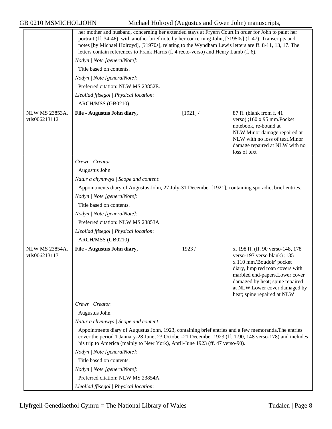GB 0210 MSMICHOLJOHN Michael Holroyd (Augustus and Gwen John) manuscripts,

|                                        | her mother and husband, concerning her extended stays at Fryern Court in order for John to paint her<br>portrait (ff. 34-46), with another brief note by her concerning John, [?1950s] (f. 47). Transcripts and<br>notes [by Michael Holroyd], [?1970s], relating to the Wyndham Lewis letters are ff. 8-11, 13, 17. The<br>letters contain references to Frank Harris (f. 4 recto-verso) and Henry Lamb (f. 6). |            |                                                                                                                                                                                                                                                                          |  |
|----------------------------------------|------------------------------------------------------------------------------------------------------------------------------------------------------------------------------------------------------------------------------------------------------------------------------------------------------------------------------------------------------------------------------------------------------------------|------------|--------------------------------------------------------------------------------------------------------------------------------------------------------------------------------------------------------------------------------------------------------------------------|--|
|                                        | Nodyn   Note [generalNote]:                                                                                                                                                                                                                                                                                                                                                                                      |            |                                                                                                                                                                                                                                                                          |  |
|                                        | Title based on contents.                                                                                                                                                                                                                                                                                                                                                                                         |            |                                                                                                                                                                                                                                                                          |  |
|                                        | Nodyn   Note [generalNote]:                                                                                                                                                                                                                                                                                                                                                                                      |            |                                                                                                                                                                                                                                                                          |  |
|                                        | Preferred citation: NLW MS 23852E.                                                                                                                                                                                                                                                                                                                                                                               |            |                                                                                                                                                                                                                                                                          |  |
|                                        | Lleoliad ffisegol   Physical location:                                                                                                                                                                                                                                                                                                                                                                           |            |                                                                                                                                                                                                                                                                          |  |
|                                        | ARCH/MSS (GB0210)                                                                                                                                                                                                                                                                                                                                                                                                |            |                                                                                                                                                                                                                                                                          |  |
| <b>NLW MS 23853A.</b>                  | File - Augustus John diary,                                                                                                                                                                                                                                                                                                                                                                                      | $[1921]$ / | 87 ff. (blank from f. 41)                                                                                                                                                                                                                                                |  |
| vtls006213112                          |                                                                                                                                                                                                                                                                                                                                                                                                                  |            | verso);160 x 95 mm.Pocket<br>notebook, re-bound at<br>NLW.Minor damage repaired at<br>NLW with no loss of text.Minor<br>damage repaired at NLW with no<br>loss of text                                                                                                   |  |
|                                        | Crëwr   Creator:                                                                                                                                                                                                                                                                                                                                                                                                 |            |                                                                                                                                                                                                                                                                          |  |
|                                        | Augustus John.                                                                                                                                                                                                                                                                                                                                                                                                   |            |                                                                                                                                                                                                                                                                          |  |
|                                        | Natur a chynnwys / Scope and content:                                                                                                                                                                                                                                                                                                                                                                            |            |                                                                                                                                                                                                                                                                          |  |
|                                        | Appointments diary of Augustus John, 27 July-31 December [1921], containing sporadic, brief entries.                                                                                                                                                                                                                                                                                                             |            |                                                                                                                                                                                                                                                                          |  |
|                                        | Nodyn   Note [generalNote]:                                                                                                                                                                                                                                                                                                                                                                                      |            |                                                                                                                                                                                                                                                                          |  |
|                                        | Title based on contents.                                                                                                                                                                                                                                                                                                                                                                                         |            |                                                                                                                                                                                                                                                                          |  |
|                                        | Nodyn   Note [generalNote]:                                                                                                                                                                                                                                                                                                                                                                                      |            |                                                                                                                                                                                                                                                                          |  |
|                                        | Preferred citation: NLW MS 23853A.                                                                                                                                                                                                                                                                                                                                                                               |            |                                                                                                                                                                                                                                                                          |  |
|                                        | Lleoliad ffisegol   Physical location:                                                                                                                                                                                                                                                                                                                                                                           |            |                                                                                                                                                                                                                                                                          |  |
|                                        | ARCH/MSS (GB0210)                                                                                                                                                                                                                                                                                                                                                                                                |            |                                                                                                                                                                                                                                                                          |  |
| <b>NLW MS 23854A.</b><br>vtls006213117 | File - Augustus John diary,                                                                                                                                                                                                                                                                                                                                                                                      | 1923/      | x, 198 ff. (ff. 90 verso-148, 178)<br>verso-197 verso blank); 135<br>x 110 mm.'Boudoir' pocket<br>diary, limp red roan covers with<br>marbled end-papers. Lower cover<br>damaged by heat; spine repaired<br>at NLW.Lower cover damaged by<br>heat; spine repaired at NLW |  |
|                                        | Crëwr   Creator:                                                                                                                                                                                                                                                                                                                                                                                                 |            |                                                                                                                                                                                                                                                                          |  |
|                                        | Augustus John.                                                                                                                                                                                                                                                                                                                                                                                                   |            |                                                                                                                                                                                                                                                                          |  |
|                                        | Natur a chynnwys / Scope and content:                                                                                                                                                                                                                                                                                                                                                                            |            |                                                                                                                                                                                                                                                                          |  |
|                                        | Appointments diary of Augustus John, 1923, containing brief entries and a few memoranda. The entries<br>cover the period 1 January-28 June, 23 October-21 December 1923 (ff. 1-90, 148 verso-178) and includes<br>his trip to America (mainly to New York), April-June 1923 (ff. 47 verso-90).                                                                                                                   |            |                                                                                                                                                                                                                                                                          |  |
|                                        | Nodyn   Note [generalNote]:                                                                                                                                                                                                                                                                                                                                                                                      |            |                                                                                                                                                                                                                                                                          |  |
|                                        | Title based on contents.                                                                                                                                                                                                                                                                                                                                                                                         |            |                                                                                                                                                                                                                                                                          |  |
|                                        | Nodyn   Note [generalNote]:                                                                                                                                                                                                                                                                                                                                                                                      |            |                                                                                                                                                                                                                                                                          |  |
|                                        | Preferred citation: NLW MS 23854A.                                                                                                                                                                                                                                                                                                                                                                               |            |                                                                                                                                                                                                                                                                          |  |
|                                        | Lleoliad ffisegol   Physical location:                                                                                                                                                                                                                                                                                                                                                                           |            |                                                                                                                                                                                                                                                                          |  |